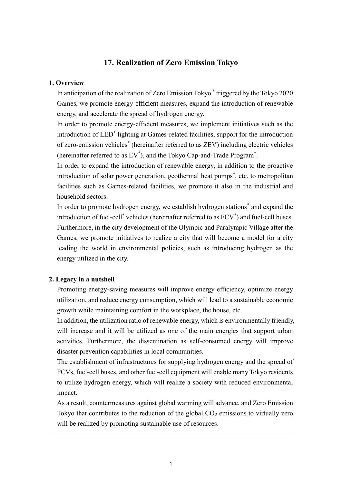# **17. Realization of Zero Emission Tokyo**

#### **1. Overview**

In anticipation of the realization of Zero Emission Tokyo \* triggered by the Tokyo 2020 Games, we promote energy-efficient measures, expand the introduction of renewable energy, and accelerate the spread of hydrogen energy.

In order to promote energy-efficient measures, we implement initiatives such as the introduction of LED\* lighting at Games-related facilities, support for the introduction of zero-emission vehicles\* (hereinafter referred to as ZEV) including electric vehicles (hereinafter referred to as EV\* ), and the Tokyo Cap-and-Trade Program\* .

In order to expand the introduction of renewable energy, in addition to the proactive introduction of solar power generation, geothermal heat pumps\* , etc. to metropolitan facilities such as Games-related facilities, we promote it also in the industrial and household sectors.

In order to promote hydrogen energy, we establish hydrogen stations\* and expand the introduction of fuel-cell<sup>\*</sup> vehicles (hereinafter referred to as FCV<sup>\*</sup>) and fuel-cell buses. Furthermore, in the city development of the Olympic and Paralympic Village after the Games, we promote initiatives to realize a city that will become a model for a city leading the world in environmental policies, such as introducing hydrogen as the energy utilized in the city.

## **2. Legacy in a nutshell**

Promoting energy-saving measures will improve energy efficiency, optimize energy utilization, and reduce energy consumption, which will lead to a sustainable economic growth while maintaining comfort in the workplace, the house, etc.

In addition, the utilization ratio of renewable energy, which is environmentally friendly, will increase and it will be utilized as one of the main energies that support urban activities. Furthermore, the dissemination as self-consumed energy will improve disaster prevention capabilities in local communities.

The establishment of infrastructures for supplying hydrogen energy and the spread of FCVs, fuel-cell buses, and other fuel-cell equipment will enable many Tokyo residents to utilize hydrogen energy, which will realize a society with reduced environmental impact.

As a result, countermeasures against global warming will advance, and Zero Emission Tokyo that contributes to the reduction of the global  $CO<sub>2</sub>$  emissions to virtually zero will be realized by promoting sustainable use of resources.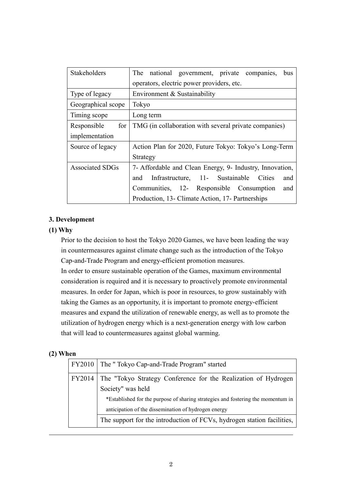| Stakeholders           | national government, private companies,<br>The<br>bus    |
|------------------------|----------------------------------------------------------|
|                        | operators, electric power providers, etc.                |
| Type of legacy         | Environment & Sustainability                             |
| Geographical scope     | Tokyo                                                    |
| Timing scope           | Long term                                                |
| for<br>Responsible     | TMG (in collaboration with several private companies)    |
| implementation         |                                                          |
| Source of legacy       | Action Plan for 2020, Future Tokyo: Tokyo's Long-Term    |
|                        | Strategy                                                 |
| <b>Associated SDGs</b> | 7- Affordable and Clean Energy, 9- Industry, Innovation, |
|                        | Infrastructure, 11- Sustainable<br>Cities<br>and<br>and  |
|                        | Communities, 12- Responsible Consumption<br>and          |
|                        | Production, 13- Climate Action, 17- Partnerships         |

## **3. Development**

## **(1) Why**

Prior to the decision to host the Tokyo 2020 Games, we have been leading the way in countermeasures against climate change such as the introduction of the Tokyo Cap-and-Trade Program and energy-efficient promotion measures.

In order to ensure sustainable operation of the Games, maximum environmental consideration is required and it is necessary to proactively promote environmental measures. In order for Japan, which is poor in resources, to grow sustainably with taking the Games as an opportunity, it is important to promote energy-efficient measures and expand the utilization of renewable energy, as well as to promote the utilization of hydrogen energy which is a next-generation energy with low carbon that will lead to countermeasures against global warming.

#### **(2) When**

|        | FY2010 The "Tokyo Cap-and-Trade Program" started                                 |
|--------|----------------------------------------------------------------------------------|
| FY2014 | The "Tokyo Strategy Conference for the Realization of Hydrogen                   |
|        | Society" was held                                                                |
|        | *Established for the purpose of sharing strategies and fostering the momentum in |
|        | anticipation of the dissemination of hydrogen energy                             |
|        | The support for the introduction of FCVs, hydrogen station facilities,           |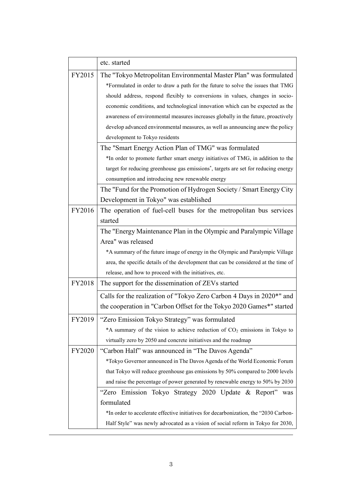|        | etc. started                                                                                    |
|--------|-------------------------------------------------------------------------------------------------|
| FY2015 | The "Tokyo Metropolitan Environmental Master Plan" was formulated                               |
|        | *Formulated in order to draw a path for the future to solve the issues that TMG                 |
|        | should address, respond flexibly to conversions in values, changes in socio-                    |
|        | economic conditions, and technological innovation which can be expected as the                  |
|        | awareness of environmental measures increases globally in the future, proactively               |
|        | develop advanced environmental measures, as well as announcing anew the policy                  |
|        | development to Tokyo residents                                                                  |
|        | The "Smart Energy Action Plan of TMG" was formulated                                            |
|        | *In order to promote further smart energy initiatives of TMG, in addition to the                |
|        | target for reducing greenhouse gas emissions <sup>*</sup> , targets are set for reducing energy |
|        | consumption and introducing new renewable energy                                                |
|        | The "Fund for the Promotion of Hydrogen Society / Smart Energy City                             |
|        | Development in Tokyo" was established                                                           |
| FY2016 | The operation of fuel-cell buses for the metropolitan bus services                              |
|        | started                                                                                         |
|        | The "Energy Maintenance Plan in the Olympic and Paralympic Village                              |
|        | Area" was released                                                                              |
|        | *A summary of the future image of energy in the Olympic and Paralympic Village                  |
|        | area, the specific details of the development that can be considered at the time of             |
|        | release, and how to proceed with the initiatives, etc.                                          |
| FY2018 | The support for the dissemination of ZEVs started                                               |
|        | Calls for the realization of "Tokyo Zero Carbon 4 Days in 2020*" and                            |
|        | the cooperation in "Carbon Offset for the Tokyo 2020 Games*" started                            |
| FY2019 | "Zero Emission Tokyo Strategy" was formulated                                                   |
|        | *A summary of the vision to achieve reduction of CO <sub>2</sub> emissions in Tokyo to          |
|        | virtually zero by 2050 and concrete initiatives and the roadmap                                 |
| FY2020 | "Carbon Half" was announced in "The Davos Agenda"                                               |
|        | *Tokyo Governor announced in The Davos Agenda of the World Economic Forum                       |
|        | that Tokyo will reduce greenhouse gas emissions by 50% compared to 2000 levels                  |
|        | and raise the percentage of power generated by renewable energy to 50% by 2030                  |
|        | "Zero Emission Tokyo Strategy 2020 Update & Report" was                                         |
|        | formulated                                                                                      |
|        | *In order to accelerate effective initiatives for decarbonization, the "2030 Carbon-            |
|        | Half Style" was newly advocated as a vision of social reform in Tokyo for 2030,                 |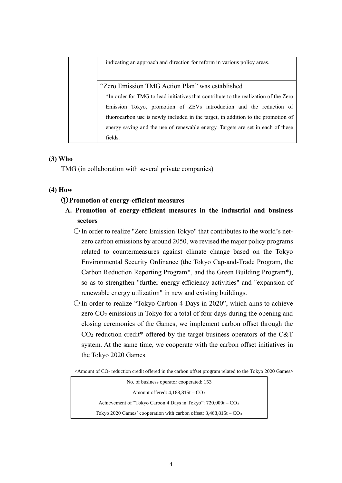indicating an approach and direction for reform in various policy areas. "Zero Emission TMG Action Plan" was established

\*In order for TMG to lead initiatives that contribute to the realization of the Zero Emission Tokyo, promotion of ZEVs introduction and the reduction of fluorocarbon use is newly included in the target, in addition to the promotion of energy saving and the use of renewable energy. Targets are set in each of these fields.

# **(3) Who**

TMG (in collaboration with several private companies)

# **(4) How**

## ① **Promotion of energy-efficient measures**

- **A. Promotion of energy-efficient measures in the industrial and business sectors**
	- $\bigcirc$  In order to realize "Zero Emission Tokyo" that contributes to the world's netzero carbon emissions by around 2050, we revised the major policy programs related to countermeasures against climate change based on the Tokyo Environmental Security Ordinance (the Tokyo Cap-and-Trade Program, the Carbon Reduction Reporting Program\*, and the Green Building Program\*), so as to strengthen "further energy-efficiency activities" and "expansion of renewable energy utilization" in new and existing buildings.
	- $\circ$  In order to realize "Tokyo Carbon 4 Days in 2020", which aims to achieve zero  $CO<sub>2</sub>$  emissions in Tokyo for a total of four days during the opening and closing ceremonies of the Games, we implement carbon offset through the  $CO<sub>2</sub>$  reduction credit<sup>\*</sup> offered by the target business operators of the C&T system. At the same time, we cooperate with the carbon offset initiatives in the Tokyo 2020 Games.

 $\leq$ Amount of CO<sub>2</sub> reduction credit offered in the carbon offset program related to the Tokyo 2020 Games $>$ 

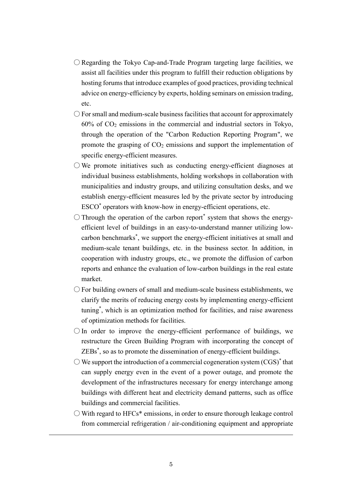- ○Regarding the Tokyo Cap-and-Trade Program targeting large facilities, we assist all facilities under this program to fulfill their reduction obligations by hosting forums that introduce examples of good practices, providing technical advice on energy-efficiency by experts, holding seminars on emission trading, etc.
- $\circ$  For small and medium-scale business facilities that account for approximately  $60\%$  of  $CO<sub>2</sub>$  emissions in the commercial and industrial sectors in Tokyo, through the operation of the "Carbon Reduction Reporting Program", we promote the grasping of  $CO<sub>2</sub>$  emissions and support the implementation of specific energy-efficient measures.
- $\bigcirc$  We promote initiatives such as conducting energy-efficient diagnoses at individual business establishments, holding workshops in collaboration with municipalities and industry groups, and utilizing consultation desks, and we establish energy-efficient measures led by the private sector by introducing ESCO\* operators with know-how in energy-efficient operations, etc.
- $\bigcirc$  Through the operation of the carbon report\* system that shows the energyefficient level of buildings in an easy-to-understand manner utilizing lowcarbon benchmarks\* , we support the energy-efficient initiatives at small and medium-scale tenant buildings, etc. in the business sector. In addition, in cooperation with industry groups, etc., we promote the diffusion of carbon reports and enhance the evaluation of low-carbon buildings in the real estate market.
- $\bigcirc$  For building owners of small and medium-scale business establishments, we clarify the merits of reducing energy costs by implementing energy-efficient tuning\* , which is an optimization method for facilities, and raise awareness of optimization methods for facilities.
- $\bigcirc$  In order to improve the energy-efficient performance of buildings, we restructure the Green Building Program with incorporating the concept of ZEBs\* , so as to promote the dissemination of energy-efficient buildings.
- $\bigcirc$  We support the introduction of a commercial cogeneration system  $(CGS)^*$  that can supply energy even in the event of a power outage, and promote the development of the infrastructures necessary for energy interchange among buildings with different heat and electricity demand patterns, such as office buildings and commercial facilities.
- $\circlearrowright$  With regard to HFCs\* emissions, in order to ensure thorough leakage control from commercial refrigeration / air-conditioning equipment and appropriate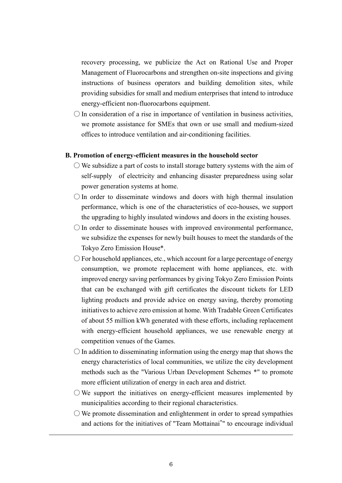recovery processing, we publicize the Act on Rational Use and Proper Management of Fluorocarbons and strengthen on-site inspections and giving instructions of business operators and building demolition sites, while providing subsidies for small and medium enterprises that intend to introduce energy-efficient non-fluorocarbons equipment.

 $\bigcirc$  In consideration of a rise in importance of ventilation in business activities, we promote assistance for SMEs that own or use small and medium-sized offices to introduce ventilation and air-conditioning facilities.

#### **B. Promotion of energy-efficient measures in the household sector**

- $\circlearrowright$  We subsidize a part of costs to install storage battery systems with the aim of self-supply of electricity and enhancing disaster preparedness using solar power generation systems at home.
- $\bigcirc$  In order to disseminate windows and doors with high thermal insulation performance, which is one of the characteristics of eco-houses, we support the upgrading to highly insulated windows and doors in the existing houses.
- $\bigcirc$  In order to disseminate houses with improved environmental performance, we subsidize the expenses for newly built houses to meet the standards of the Tokyo Zero Emission House\*.
- $\bigcirc$  For household appliances, etc., which account for a large percentage of energy consumption, we promote replacement with home appliances, etc. with improved energy saving performances by giving Tokyo Zero Emission Points that can be exchanged with gift certificates the discount tickets for LED lighting products and provide advice on energy saving, thereby promoting initiatives to achieve zero emission at home. With Tradable Green Certificates of about 55 million kWh generated with these efforts, including replacement with energy-efficient household appliances, we use renewable energy at competition venues of the Games.
- $\bigcirc$  In addition to disseminating information using the energy map that shows the energy characteristics of local communities, we utilize the city development methods such as the "Various Urban Development Schemes \*" to promote more efficient utilization of energy in each area and district.
- $\bigcirc$  We support the initiatives on energy-efficient measures implemented by municipalities according to their regional characteristics.
- $\circlearrowright$  We promote dissemination and enlightenment in order to spread sympathies and actions for the initiatives of "Team Mottainai\* " to encourage individual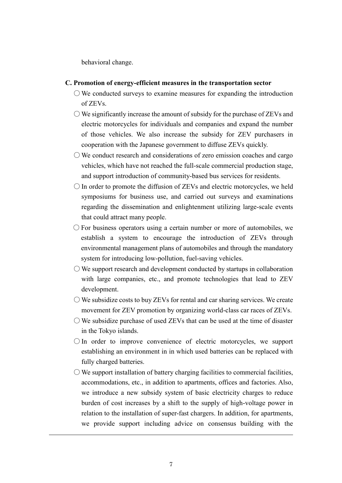behavioral change.

#### **C. Promotion of energy-efficient measures in the transportation sector**

- $\bigcirc$  We conducted surveys to examine measures for expanding the introduction of ZEVs.
- $\bigcirc$  We significantly increase the amount of subsidy for the purchase of ZEVs and electric motorcycles for individuals and companies and expand the number of those vehicles. We also increase the subsidy for ZEV purchasers in cooperation with the Japanese government to diffuse ZEVs quickly.
- $\circlearrowright$  We conduct research and considerations of zero emission coaches and cargo vehicles, which have not reached the full-scale commercial production stage, and support introduction of community-based bus services for residents.
- $\bigcirc$  In order to promote the diffusion of ZEVs and electric motorcycles, we held symposiums for business use, and carried out surveys and examinations regarding the dissemination and enlightenment utilizing large-scale events that could attract many people.
- $\bigcirc$  For business operators using a certain number or more of automobiles, we establish a system to encourage the introduction of ZEVs through environmental management plans of automobiles and through the mandatory system for introducing low-pollution, fuel-saving vehicles.
- $\circlearrowright$  We support research and development conducted by startups in collaboration with large companies, etc., and promote technologies that lead to ZEV development.
- $\circlearrowright$  We subsidize costs to buy ZEVs for rental and car sharing services. We create movement for ZEV promotion by organizing world-class car races of ZEVs.
- $\circlearrowright$  We subsidize purchase of used ZEVs that can be used at the time of disaster in the Tokyo islands.
- ○In order to improve convenience of electric motorcycles, we support establishing an environment in in which used batteries can be replaced with fully charged batteries.
- $\bigcirc$  We support installation of battery charging facilities to commercial facilities, accommodations, etc., in addition to apartments, offices and factories. Also, we introduce a new subsidy system of basic electricity charges to reduce burden of cost increases by a shift to the supply of high-voltage power in relation to the installation of super-fast chargers. In addition, for apartments, we provide support including advice on consensus building with the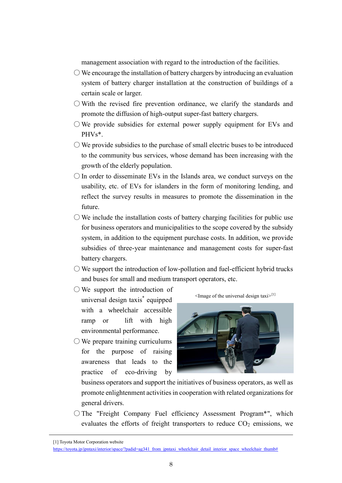management association with regard to the introduction of the facilities.

- $\bigcirc$  We encourage the installation of battery chargers by introducing an evaluation system of battery charger installation at the construction of buildings of a certain scale or larger.
- $\circlearrowright$  With the revised fire prevention ordinance, we clarify the standards and promote the diffusion of high-output super-fast battery chargers.
- $\circlearrowright$  We provide subsidies for external power supply equipment for EVs and PHVs\*.
- $\bigcirc$  We provide subsidies to the purchase of small electric buses to be introduced to the community bus services, whose demand has been increasing with the growth of the elderly population.
- $\bigcirc$  In order to disseminate EVs in the Islands area, we conduct surveys on the usability, etc. of EVs for islanders in the form of monitoring lending, and reflect the survey results in measures to promote the dissemination in the future.
- $\circlearrowright$  We include the installation costs of battery charging facilities for public use for business operators and municipalities to the scope covered by the subsidy system, in addition to the equipment purchase costs. In addition, we provide subsidies of three-year maintenance and management costs for super-fast battery chargers.
- $\bigcirc$  We support the introduction of low-pollution and fuel-efficient hybrid trucks and buses for small and medium transport operators, etc.
- $\bigcirc$  We support the introduction of universal design taxis\* equipped with a wheelchair accessible ramp or lift with high environmental performance.
- $\bigcirc$  We prepare training curriculums for the purpose of raising awareness that leads to the practice of eco-driving by





business operators and support the initiatives of business operators, as well as promote enlightenment activities in cooperation with related organizations for general drivers.

○The "Freight Company Fuel efficiency Assessment Program\*", which evaluates the efforts of freight transporters to reduce  $CO<sub>2</sub>$  emissions, we

<sup>[1]</sup> Toyota Motor Corporation website

[https://toyota.jp/jpntaxi/interior/space/?padid=ag341\\_from\\_jpntaxi\\_wheelchair\\_detail\\_interior\\_space\\_wheelchair\\_thumb#](https://toyota.jp/jpntaxi/interior/space/?padid=ag341_from_jpntaxi_wheelchair_detail_interior_space_wheelchair_thumb)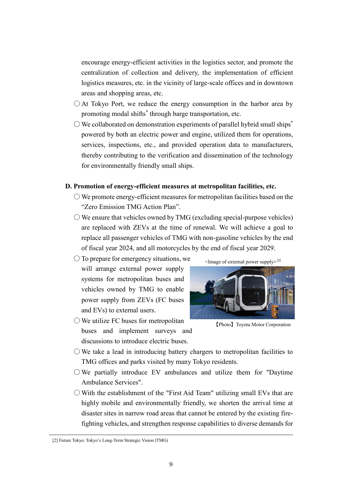9

encourage energy-efficient activities in the logistics sector, and promote the centralization of collection and delivery, the implementation of efficient logistics measures, etc. in the vicinity of large-scale offices and in downtown areas and shopping areas, etc.

- $\bigcirc$  At Tokyo Port, we reduce the energy consumption in the harbor area by promoting modal shifts\* through barge transportation, etc.
- $\bigcirc$  We collaborated on demonstration experiments of parallel hybrid small ships<sup>\*</sup> powered by both an electric power and engine, utilized them for operations, services, inspections, etc., and provided operation data to manufacturers, thereby contributing to the verification and dissemination of the technology for environmentally friendly small ships.

# **D. Promotion of energy-efficient measures at metropolitan facilities, etc.**

- $\bigcirc$  We promote energy-efficient measures for metropolitan facilities based on the "Zero Emission TMG Action Plan".
- $\bigcirc$  We ensure that vehicles owned by TMG (excluding special-purpose vehicles) are replaced with ZEVs at the time of renewal. We will achieve a goal to replace all passenger vehicles of TMG with non-gasoline vehicles by the end of fiscal year 2024, and all motorcycles by the end of fiscal year 2029.
- $\bigcirc$  To prepare for emergency situations, we will arrange external power supply systems for metropolitan buses and vehicles owned by TMG to enable power supply from ZEVs (FC buses and EVs) to external users.
- $\bigcirc$  We utilize FC buses for metropolitan buses and implement surveys and discussions to introduce electric buses.
- $\bigcirc$  We take a lead in introducing battery chargers to metropolitan facilities to TMG offices and parks visited by many Tokyo residents.
- $\bigcirc$  We partially introduce EV ambulances and utilize them for "Daytime Ambulance Services".
- $\circlearrowright$  With the establishment of the "First Aid Team" utilizing small EVs that are highly mobile and environmentally friendly, we shorten the arrival time at disaster sites in narrow road areas that cannot be entered by the existing firefighting vehicles, and strengthen response capabilities to diverse demands for

# 【Photo】Toyota Motor Corporation



 $\leq$ Image of external power supply $>^{[2]}$ 

[2] Future Tokyo: Tokyo's Long-Term Strategic Vision (TMG)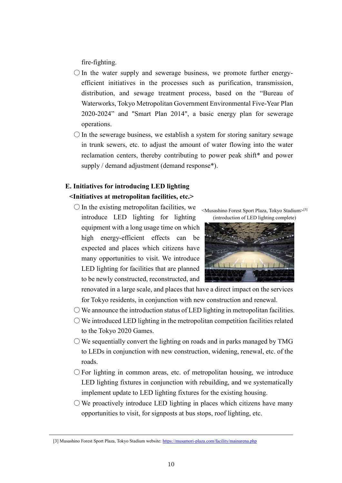fire-fighting.

- $\bigcirc$  In the water supply and sewerage business, we promote further energyefficient initiatives in the processes such as purification, transmission, distribution, and sewage treatment process, based on the "Bureau of Waterworks, Tokyo Metropolitan Government Environmental Five-Year Plan 2020-2024" and "Smart Plan 2014", a basic energy plan for sewerage operations.
- $\bigcirc$  In the sewerage business, we establish a system for storing sanitary sewage in trunk sewers, etc. to adjust the amount of water flowing into the water reclamation centers, thereby contributing to power peak shift\* and power supply / demand adjustment (demand response\*).

# **E. Initiatives for introducing LED lighting <Initiatives at metropolitan facilities, etc.>**

 $\bigcirc$  In the existing metropolitan facilities, we introduce LED lighting for lighting equipment with a long usage time on which high energy-efficient effects can be expected and places which citizens have many opportunities to visit. We introduce LED lighting for facilities that are planned to be newly constructed, reconstructed, and

<Musashino Forest Sport Plaza, Tokyo Stadium>[3] (introduction of LED lighting complete)



renovated in a large scale, and places that have a direct impact on the services for Tokyo residents, in conjunction with new construction and renewal.

- $\bigcirc$  We announce the introduction status of LED lighting in metropolitan facilities.
- $\bigcirc$  We introduced LED lighting in the metropolitan competition facilities related to the Tokyo 2020 Games.
- $\bigcirc$  We sequentially convert the lighting on roads and in parks managed by TMG to LEDs in conjunction with new construction, widening, renewal, etc. of the roads.
- $\bigcirc$  For lighting in common areas, etc. of metropolitan housing, we introduce LED lighting fixtures in conjunction with rebuilding, and we systematically implement update to LED lighting fixtures for the existing housing.
- $\circ$  We proactively introduce LED lighting in places which citizens have many opportunities to visit, for signposts at bus stops, roof lighting, etc.

<sup>[3]</sup> Musashino Forest Sport Plaza, Tokyo Stadium website[: https://musamori-plaza.com/facility/mainarena.php](https://musamori-plaza.com/facility/mainarena.php)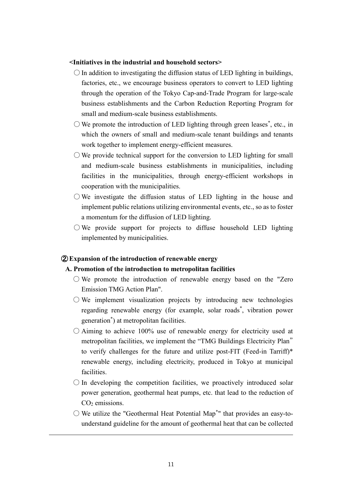#### **<Initiatives in the industrial and household sectors>**

- $\bigcirc$  In addition to investigating the diffusion status of LED lighting in buildings, factories, etc., we encourage business operators to convert to LED lighting through the operation of the Tokyo Cap-and-Trade Program for large-scale business establishments and the Carbon Reduction Reporting Program for small and medium-scale business establishments.
- $\bigcirc$  We promote the introduction of LED lighting through green leases<sup>\*</sup>, etc., in which the owners of small and medium-scale tenant buildings and tenants work together to implement energy-efficient measures.
- $\bigcirc$  We provide technical support for the conversion to LED lighting for small and medium-scale business establishments in municipalities, including facilities in the municipalities, through energy-efficient workshops in cooperation with the municipalities.
- $\bigcirc$  We investigate the diffusion status of LED lighting in the house and implement public relations utilizing environmental events, etc., so as to foster a momentum for the diffusion of LED lighting.
- $\bigcirc$  We provide support for projects to diffuse household LED lighting implemented by municipalities.

#### ② **Expansion of the introduction of renewable energy**

#### **A. Promotion of the introduction to metropolitan facilities**

- $\bigcirc$  We promote the introduction of renewable energy based on the "Zero" Emission TMG Action Plan".
- $\bigcirc$  We implement visualization projects by introducing new technologies regarding renewable energy (for example, solar roads\* , vibration power generation\* ) at metropolitan facilities.
- $\circ$  Aiming to achieve 100% use of renewable energy for electricity used at metropolitan facilities, we implement the "TMG Buildings Electricity Plan" to verify challenges for the future and utilize post-FIT (Feed-in Tarriff)\* renewable energy, including electricity, produced in Tokyo at municipal facilities.
- $\bigcirc$  In developing the competition facilities, we proactively introduced solar power generation, geothermal heat pumps, etc. that lead to the reduction of CO<sub>2</sub> emissions.
- $\bigcirc$  We utilize the "Geothermal Heat Potential Map<sup>\*</sup>" that provides an easy-tounderstand guideline for the amount of geothermal heat that can be collected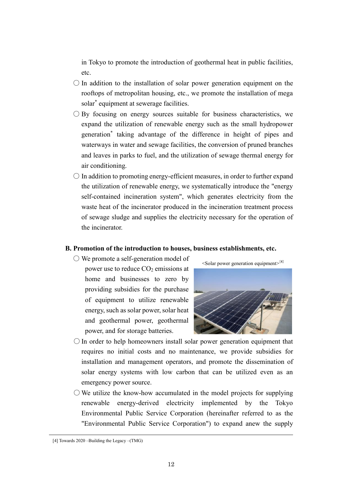in Tokyo to promote the introduction of geothermal heat in public facilities, etc.

- $\bigcirc$  In addition to the installation of solar power generation equipment on the rooftops of metropolitan housing, etc., we promote the installation of mega solar\* equipment at sewerage facilities.
- $\bigcirc$  By focusing on energy sources suitable for business characteristics, we expand the utilization of renewable energy such as the small hydropower generation\* taking advantage of the difference in height of pipes and waterways in water and sewage facilities, the conversion of pruned branches and leaves in parks to fuel, and the utilization of sewage thermal energy for air conditioning.
- $\bigcirc$  In addition to promoting energy-efficient measures, in order to further expand the utilization of renewable energy, we systematically introduce the "energy self-contained incineration system", which generates electricity from the waste heat of the incinerator produced in the incineration treatment process of sewage sludge and supplies the electricity necessary for the operation of the incinerator.

## **B. Promotion of the introduction to houses, business establishments, etc.**

○ We promote a self-generation model of power use to reduce  $CO<sub>2</sub>$  emissions at home and businesses to zero by providing subsidies for the purchase of equipment to utilize renewable energy, such as solar power, solar heat and geothermal power, geothermal power, and for storage batteries.



- $\bigcirc$  In order to help homeowners install solar power generation equipment that requires no initial costs and no maintenance, we provide subsidies for installation and management operators, and promote the dissemination of solar energy systems with low carbon that can be utilized even as an emergency power source.
- $\circlearrowright$  We utilize the know-how accumulated in the model projects for supplying renewable energy-derived electricity implemented by the Tokyo Environmental Public Service Corporation (hereinafter referred to as the "Environmental Public Service Corporation") to expand anew the supply

<sup>[4]</sup> Towards 2020 –Building the Legacy –(TMG)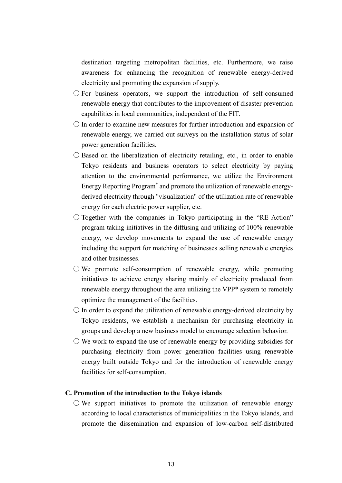destination targeting metropolitan facilities, etc. Furthermore, we raise awareness for enhancing the recognition of renewable energy-derived electricity and promoting the expansion of supply.

- $\bigcirc$  For business operators, we support the introduction of self-consumed renewable energy that contributes to the improvement of disaster prevention capabilities in local communities, independent of the FIT.
- $\bigcirc$  In order to examine new measures for further introduction and expansion of renewable energy, we carried out surveys on the installation status of solar power generation facilities.
- $\bigcirc$  Based on the liberalization of electricity retailing, etc., in order to enable Tokyo residents and business operators to select electricity by paying attention to the environmental performance, we utilize the Environment Energy Reporting Program\* and promote the utilization of renewable energyderived electricity through "visualization" of the utilization rate of renewable energy for each electric power supplier, etc.
- $\bigcirc$  Together with the companies in Tokyo participating in the "RE Action" program taking initiatives in the diffusing and utilizing of 100% renewable energy, we develop movements to expand the use of renewable energy including the support for matching of businesses selling renewable energies and other businesses.
- $\bigcirc$  We promote self-consumption of renewable energy, while promoting initiatives to achieve energy sharing mainly of electricity produced from renewable energy throughout the area utilizing the VPP\* system to remotely optimize the management of the facilities.
- $\bigcirc$  In order to expand the utilization of renewable energy-derived electricity by Tokyo residents, we establish a mechanism for purchasing electricity in groups and develop a new business model to encourage selection behavior.
- $\circlearrowright$  We work to expand the use of renewable energy by providing subsidies for purchasing electricity from power generation facilities using renewable energy built outside Tokyo and for the introduction of renewable energy facilities for self-consumption.

#### **C. Promotion of the introduction to the Tokyo islands**

 $\bigcirc$  We support initiatives to promote the utilization of renewable energy according to local characteristics of municipalities in the Tokyo islands, and promote the dissemination and expansion of low-carbon self-distributed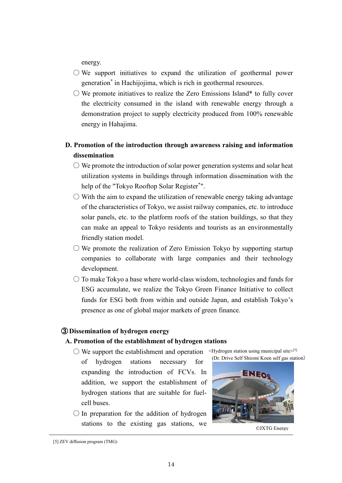energy.

- $\bigcirc$  We support initiatives to expand the utilization of geothermal power generation\* in Hachijojima, which is rich in geothermal resources.
- $\circlearrowright$  We promote initiatives to realize the Zero Emissions Island\* to fully cover the electricity consumed in the island with renewable energy through a demonstration project to supply electricity produced from 100% renewable energy in Hahajima.

# **D. Promotion of the introduction through awareness raising and information dissemination**

- $\circlearrowright$  We promote the introduction of solar power generation systems and solar heat utilization systems in buildings through information dissemination with the help of the "Tokyo Rooftop Solar Register\* ".
- $\circlearrowright$  With the aim to expand the utilization of renewable energy taking advantage of the characteristics of Tokyo, we assist railway companies, etc. to introduce solar panels, etc. to the platform roofs of the station buildings, so that they can make an appeal to Tokyo residents and tourists as an environmentally friendly station model.
- $\circ$  We promote the realization of Zero Emission Tokyo by supporting startup companies to collaborate with large companies and their technology development.
- $\bigcirc$  To make Tokyo a base where world-class wisdom, technologies and funds for ESG accumulate, we realize the Tokyo Green Finance Initiative to collect funds for ESG both from within and outside Japan, and establish Tokyo's presence as one of global major markets of green finance.

#### ③ **Dissemination of hydrogen energy**

#### **A. Promotion of the establishment of hydrogen stations**

- $\bigcirc$  We support the establishment and operation of hydrogen stations necessary for expanding the introduction of FCVs. In addition, we support the establishment of hydrogen stations that are suitable for fuelcell buses.  $\leq$ Hydrogen station using municipal site $>$ [5]
- $\bigcirc$  In preparation for the addition of hydrogen stations to the existing gas stations, we



©JXTG Energy

<sup>[5]</sup> ZEV diffusion program (TMG)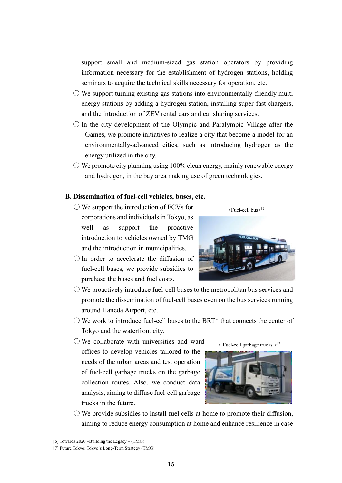seminars to acquire the technical skills necessary for operation, etc.  $\circlearrowright$  We support turning existing gas stations into environmentally-friendly multi energy stations by adding a hydrogen station, installing super-fast chargers,

support small and medium-sized gas station operators by providing information necessary for the establishment of hydrogen stations, holding

- and the introduction of ZEV rental cars and car sharing services.  $\bigcirc$  In the city development of the Olympic and Paralympic Village after the Games, we promote initiatives to realize a city that become a model for an
- environmentally-advanced cities, such as introducing hydrogen as the energy utilized in the city.
- $\circlearrowright$  We promote city planning using 100% clean energy, mainly renewable energy and hydrogen, in the bay area making use of green technologies.

#### **B. Dissemination of fuel-cell vehicles, buses, etc.**

- $\bigcirc$  We support the introduction of FCVs for corporations and individuals in Tokyo, as well as support the proactive introduction to vehicles owned by TMG and the introduction in municipalities.
- $\bigcirc$  In order to accelerate the diffusion of fuel-cell buses, we provide subsidies to purchase the buses and fuel costs.
- $\circlearrowright$  We proactively introduce fuel-cell buses to the metropolitan bus services and promote the dissemination of fuel-cell buses even on the bus services running around Haneda Airport, etc.
- $\bigcirc$  We work to introduce fuel-cell buses to the BRT\* that connects the center of Tokyo and the waterfront city.
- We collaborate with universities and ward offices to develop vehicles tailored to the needs of the urban areas and test operation of fuel-cell garbage trucks on the garbage collection routes. Also, we conduct data analysis, aiming to diffuse fuel-cell garbage trucks in the future.



 $\le$  Fuel-cell garbage trucks  $>^{[7]}$ 



 $\bigcirc$  We provide subsidies to install fuel cells at home to promote their diffusion, aiming to reduce energy consumption at home and enhance resilience in case



<sup>[6]</sup> Towards 2020 –Building the Legacy – (TMG)

<sup>[7]</sup> Future Tokyo: Tokyo's Long-Term Strategy (TMG)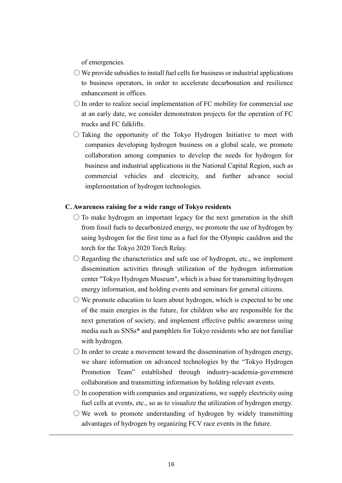of emergencies.

- $\bigcirc$  We provide subsidies to install fuel cells for business or industrial applications to business operators, in order to accelerate decarbonation and resilience enhancement in offices.
- $\bigcirc$  In order to realize social implementation of FC mobility for commercial use at an early date, we consider demonstraton projects for the operation of FC trucks and FC falklifts.
- $\bigcirc$  Taking the opportunity of the Tokyo Hydrogen Initiative to meet with companies developing hydrogen business on a global scale, we promote collaboration among companies to develop the needs for hydrogen for business and industrial applications in the National Capital Region, such as commercial vehicles and electricity, and further advance social implementation of hydrogen technologies.

#### **C. Awareness raising for a wide range of Tokyo residents**

- $\circ$  To make hydrogen an important legacy for the next generation in the shift from fossil fuels to decarbonized energy, we promote the use of hydrogen by using hydrogen for the first time as a fuel for the Olympic cauldron and the torch for the Tokyo 2020 Torch Relay.
- $\bigcirc$  Regarding the characteristics and safe use of hydrogen, etc., we implement dissemination activities through utilization of the hydrogen information center "Tokyo Hydrogen Museum", which is a base for transmitting hydrogen energy information, and holding events and seminars for general citizens.
- $\circ$  We promote education to learn about hydrogen, which is expected to be one of the main energies in the future, for children who are responsible for the next generation of society, and implement effective public awareness using media such as SNSs\* and pamphlets for Tokyo residents who are not familiar with hydrogen.
- $\bigcirc$  In order to create a movement toward the dissemination of hydrogen energy, we share information on advanced technologies by the "Tokyo Hydrogen Promotion Team" established through industry-academia-government collaboration and transmitting information by holding relevant events.
- $\circ$  In cooperation with companies and organizations, we supply electricity using fuel cells at events, etc., so as to visualize the utilization of hydrogen energy.
- $\circlearrowright$  We work to promote understanding of hydrogen by widely transmitting advantages of hydrogen by organizing FCV race events in the future.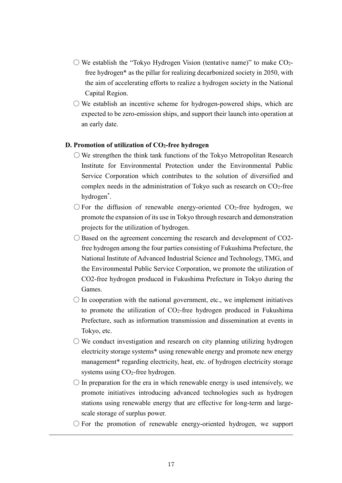- $\circ$  We establish the "Tokyo Hydrogen Vision (tentative name)" to make CO<sub>2</sub>free hydrogen\* as the pillar for realizing decarbonized society in 2050, with the aim of accelerating efforts to realize a hydrogen society in the National Capital Region.
- $\circlearrowright$  We establish an incentive scheme for hydrogen-powered ships, which are expected to be zero-emission ships, and support their launch into operation at an early date.

#### **D. Promotion of utilization of CO2-free hydrogen**

- $\circlearrowright$  We strengthen the think tank functions of the Tokyo Metropolitan Research Institute for Environmental Protection under the Environmental Public Service Corporation which contributes to the solution of diversified and complex needs in the administration of Tokyo such as research on  $CO<sub>2</sub>$ -free hydrogen\* .
- $\bigcirc$  For the diffusion of renewable energy-oriented CO<sub>2</sub>-free hydrogen, we promote the expansion of its use in Tokyo through research and demonstration projects for the utilization of hydrogen.
- $\bigcirc$  Based on the agreement concerning the research and development of CO2free hydrogen among the four parties consisting of Fukushima Prefecture, the National Institute of Advanced Industrial Science and Technology, TMG, and the Environmental Public Service Corporation, we promote the utilization of CO2-free hydrogen produced in Fukushima Prefecture in Tokyo during the Games.
- $\bigcirc$  In cooperation with the national government, etc., we implement initiatives to promote the utilization of  $CO<sub>2</sub>$ -free hydrogen produced in Fukushima Prefecture, such as information transmission and dissemination at events in Tokyo, etc.
- $\circlearrowright$  We conduct investigation and research on city planning utilizing hydrogen electricity storage systems\* using renewable energy and promote new energy management<sup>\*</sup> regarding electricity, heat, etc. of hydrogen electricity storage systems using CO<sub>2</sub>-free hydrogen.
- $\bigcirc$  In preparation for the era in which renewable energy is used intensively, we promote initiatives introducing advanced technologies such as hydrogen stations using renewable energy that are effective for long-term and largescale storage of surplus power.
- $\bigcirc$  For the promotion of renewable energy-oriented hydrogen, we support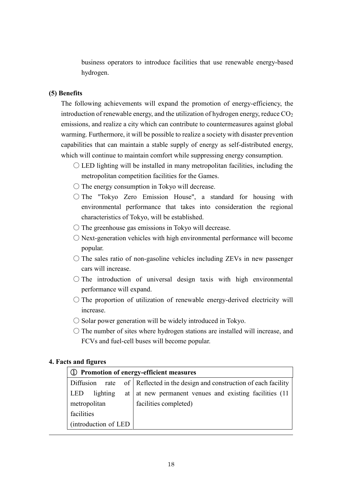business operators to introduce facilities that use renewable energy-based hydrogen.

#### **(5) Benefits**

The following achievements will expand the promotion of energy-efficiency, the introduction of renewable energy, and the utilization of hydrogen energy, reduce  $CO<sub>2</sub>$ emissions, and realize a city which can contribute to countermeasures against global warming. Furthermore, it will be possible to realize a society with disaster prevention capabilities that can maintain a stable supply of energy as self-distributed energy, which will continue to maintain comfort while suppressing energy consumption.

- $\bigcirc$  LED lighting will be installed in many metropolitan facilities, including the metropolitan competition facilities for the Games.
- $\bigcirc$  The energy consumption in Tokyo will decrease.
- The "Tokyo Zero Emission House", a standard for housing with environmental performance that takes into consideration the regional characteristics of Tokyo, will be established.
- $\circ$  The greenhouse gas emissions in Tokyo will decrease.
- $\bigcirc$  Next-generation vehicles with high environmental performance will become popular.
- $\circ$  The sales ratio of non-gasoline vehicles including ZEVs in new passenger cars will increase.
- $\bigcirc$  The introduction of universal design taxis with high environmental performance will expand.
- The proportion of utilization of renewable energy-derived electricity will increase.
- $\circ$  Solar power generation will be widely introduced in Tokyo.
- $\circ$  The number of sites where hydrogen stations are installed will increase, and FCVs and fuel-cell buses will become popular.

#### **4. Facts and figures**

| (1) Promotion of energy-efficient measures |                                                                   |  |
|--------------------------------------------|-------------------------------------------------------------------|--|
| Diffusion                                  | rate of Reflected in the design and construction of each facility |  |
| <b>LED</b><br>lighting                     | at   at new permanent venues and existing facilities $(11$        |  |
| metropolitan                               | facilities completed)                                             |  |
| facilities                                 |                                                                   |  |
| (introduction of LED)                      |                                                                   |  |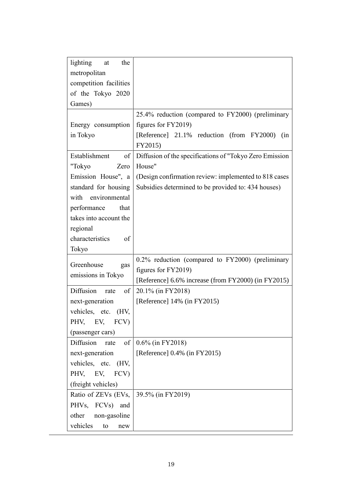| lighting<br>the<br>at   |                                                         |
|-------------------------|---------------------------------------------------------|
| metropolitan            |                                                         |
| competition facilities  |                                                         |
| of the Tokyo 2020       |                                                         |
| Games)                  |                                                         |
|                         | 25.4% reduction (compared to FY2000) (preliminary       |
| Energy consumption      | figures for FY2019)                                     |
| in Tokyo                | [Reference] 21.1% reduction (from FY2000)<br>(in        |
|                         | FY2015)                                                 |
| Establishment<br>of     | Diffusion of the specifications of "Tokyo Zero Emission |
| "Tokyo<br>Zero          | House"                                                  |
| Emission House", a      | (Design confirmation review: implemented to 818 cases)  |
| standard for housing    | Subsidies determined to be provided to: 434 houses)     |
| with environmental      |                                                         |
| performance<br>that     |                                                         |
| takes into account the  |                                                         |
| regional                |                                                         |
| characteristics<br>of   |                                                         |
| Tokyo                   |                                                         |
| Greenhouse              | 0.2% reduction (compared to FY2000) (preliminary        |
| gas                     | figures for FY2019)                                     |
| emissions in Tokyo      | [Reference] 6.6% increase (from FY2000) (in FY2015)     |
| Diffusion<br>of<br>rate | 20.1% (in FY2018)                                       |
| next-generation         | [Reference] $14\%$ (in FY2015)                          |
| vehicles, etc.<br>(HV,  |                                                         |
| PHV, EV, FCV)           |                                                         |
| (passenger cars)        |                                                         |
| Diffusion<br>of<br>rate | 0.6% (in FY2018)                                        |
| next-generation         | [Reference] 0.4% (in FY2015)                            |
| vehicles, etc. (HV,     |                                                         |
| PHV, EV, FCV)           |                                                         |
| (freight vehicles)      |                                                         |
| Ratio of ZEVs (EVs,     | $39.5\%$ (in FY2019)                                    |
| PHVs, FCVs)<br>and      |                                                         |
| other<br>non-gasoline   |                                                         |
| vehicles<br>to<br>new   |                                                         |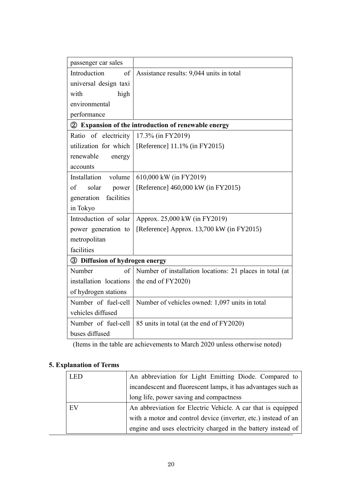| passenger car sales            |                                                          |
|--------------------------------|----------------------------------------------------------|
| Introduction<br>of             | Assistance results: 9,044 units in total                 |
| universal design taxi          |                                                          |
| high<br>with                   |                                                          |
| environmental                  |                                                          |
| performance                    |                                                          |
|                                | 2 Expansion of the introduction of renewable energy      |
| Ratio of electricity           | 17.3% (in FY2019)                                        |
| utilization for which          | [Reference] 11.1% (in FY2015)                            |
| renewable<br>energy            |                                                          |
| accounts                       |                                                          |
| Installation<br>volume         | 610,000 kW (in FY2019)                                   |
| of<br>solar<br>power           | [Reference] 460,000 kW (in FY2015)                       |
| facilities<br>generation       |                                                          |
| in Tokyo                       |                                                          |
| Introduction of solar          | Approx. 25,000 kW (in FY2019)                            |
| power generation to            | [Reference] Approx. 13,700 kW (in FY2015)                |
| metropolitan                   |                                                          |
| facilities                     |                                                          |
| 3 Diffusion of hydrogen energy |                                                          |
| Number<br>of                   | Number of installation locations: 21 places in total (at |
| installation locations         | the end of FY2020)                                       |
| of hydrogen stations           |                                                          |
| Number of fuel-cell            | Number of vehicles owned: 1,097 units in total           |
| vehicles diffused              |                                                          |
| Number of fuel-cell            | 85 units in total (at the end of FY2020)                 |
| buses diffused                 |                                                          |

(Items in the table are achievements to March 2020 unless otherwise noted)

# **5. Explanation of Terms**

| <b>LED</b> | An abbreviation for Light Emitting Diode. Compared to          |
|------------|----------------------------------------------------------------|
|            | incandescent and fluorescent lamps, it has advantages such as  |
|            | long life, power saving and compactness                        |
| EV         | An abbreviation for Electric Vehicle. A car that is equipped   |
|            | with a motor and control device (inverter, etc.) instead of an |
|            | engine and uses electricity charged in the battery instead of  |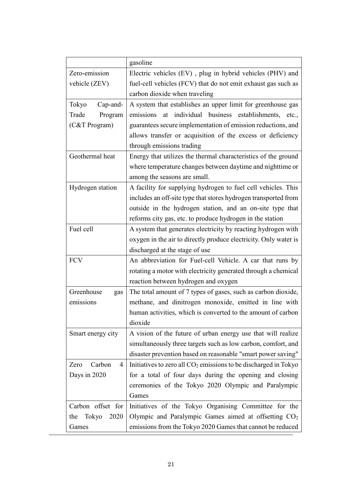|                      | gasoline                                                          |
|----------------------|-------------------------------------------------------------------|
| Zero-emission        | Electric vehicles (EV), plug in hybrid vehicles (PHV) and         |
| vehicle (ZEV)        | fuel-cell vehicles (FCV) that do not emit exhaust gas such as     |
|                      | carbon dioxide when traveling                                     |
| Cap-and-<br>Tokyo    | A system that establishes an upper limit for greenhouse gas       |
| Trade<br>Program     | at individual business establishments, etc.,<br>emissions         |
| (C&T Program)        | guarantees secure implementation of emission reductions, and      |
|                      | allows transfer or acquisition of the excess or deficiency        |
|                      | through emissions trading                                         |
| Geothermal heat      | Energy that utilizes the thermal characteristics of the ground    |
|                      | where temperature changes between daytime and nighttime or        |
|                      | among the seasons are small.                                      |
| Hydrogen station     | A facility for supplying hydrogen to fuel cell vehicles. This     |
|                      | includes an off-site type that stores hydrogen transported from   |
|                      | outside in the hydrogen station, and an on-site type that         |
|                      | reforms city gas, etc. to produce hydrogen in the station         |
| Fuel cell            | A system that generates electricity by reacting hydrogen with     |
|                      | oxygen in the air to directly produce electricity. Only water is  |
|                      | discharged at the stage of use                                    |
| <b>FCV</b>           | An abbreviation for Fuel-cell Vehicle. A car that runs by         |
|                      | rotating a motor with electricity generated through a chemical    |
|                      | reaction between hydrogen and oxygen                              |
| Greenhouse<br>gas    | The total amount of 7 types of gases, such as carbon dioxide,     |
| emissions            | methane, and dinitrogen monoxide, emitted in line with            |
|                      | human activities, which is converted to the amount of carbon      |
|                      | dioxide                                                           |
| Smart energy city    | A vision of the future of urban energy use that will realize      |
|                      | simultaneously three targets such as low carbon, comfort, and     |
|                      | disaster prevention based on reasonable "smart power saving"      |
| Carbon<br>Zero<br>4  | Initiatives to zero all $CO2$ emissions to be discharged in Tokyo |
| Days in 2020         | for a total of four days during the opening and closing           |
|                      | ceremonies of the Tokyo 2020 Olympic and Paralympic               |
|                      | Games                                                             |
| Carbon offset for    | Initiatives of the Tokyo Organising Committee for the             |
| Tokyo<br>2020<br>the | Olympic and Paralympic Games aimed at offsetting CO <sub>2</sub>  |
| Games                | emissions from the Tokyo 2020 Games that cannot be reduced        |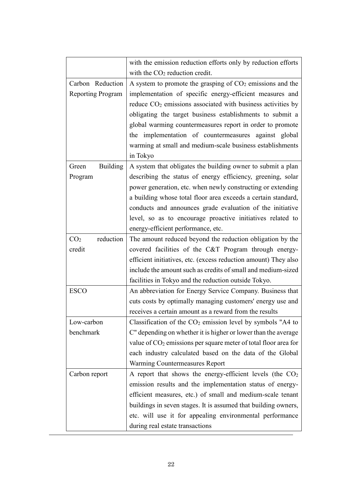|                              | with the emission reduction efforts only by reduction efforts           |
|------------------------------|-------------------------------------------------------------------------|
|                              | with the $CO2$ reduction credit.                                        |
| Carbon Reduction             | A system to promote the grasping of $CO2$ emissions and the             |
| <b>Reporting Program</b>     | implementation of specific energy-efficient measures and                |
|                              | reduce CO <sub>2</sub> emissions associated with business activities by |
|                              | obligating the target business establishments to submit a               |
|                              | global warming countermeasures report in order to promote               |
|                              | the implementation of countermeasures against global                    |
|                              | warming at small and medium-scale business establishments               |
|                              | in Tokyo                                                                |
| <b>Building</b><br>Green     | A system that obligates the building owner to submit a plan             |
| Program                      | describing the status of energy efficiency, greening, solar             |
|                              | power generation, etc. when newly constructing or extending             |
|                              | a building whose total floor area exceeds a certain standard,           |
|                              | conducts and announces grade evaluation of the initiative               |
|                              | level, so as to encourage proactive initiatives related to              |
|                              | energy-efficient performance, etc.                                      |
| reduction<br>CO <sub>2</sub> | The amount reduced beyond the reduction obligation by the               |
| credit                       | covered facilities of the C&T Program through energy-                   |
|                              | efficient initiatives, etc. (excess reduction amount) They also         |
|                              | include the amount such as credits of small and medium-sized            |
|                              | facilities in Tokyo and the reduction outside Tokyo.                    |
| <b>ESCO</b>                  | An abbreviation for Energy Service Company. Business that               |
|                              | cuts costs by optimally managing customers' energy use and              |
|                              | receives a certain amount as a reward from the results                  |
| Low-carbon                   | Classification of the $CO2$ emission level by symbols "A4 to            |
| benchmark                    | C" depending on whether it is higher or lower than the average          |
|                              | value of $CO2$ emissions per square meter of total floor area for       |
|                              | each industry calculated based on the data of the Global                |
|                              | Warming Countermeasures Report                                          |
| Carbon report                | A report that shows the energy-efficient levels (the $CO2$              |
|                              | emission results and the implementation status of energy-               |
|                              | efficient measures, etc.) of small and medium-scale tenant              |
|                              | buildings in seven stages. It is assumed that building owners,          |
|                              | etc. will use it for appealing environmental performance                |
|                              | during real estate transactions                                         |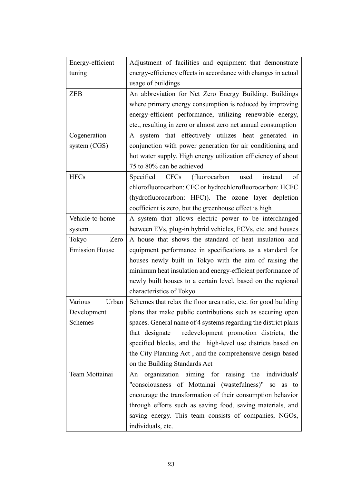| Energy-efficient      | Adjustment of facilities and equipment that demonstrate         |
|-----------------------|-----------------------------------------------------------------|
| tuning                | energy-efficiency effects in accordance with changes in actual  |
|                       | usage of buildings                                              |
| <b>ZEB</b>            | An abbreviation for Net Zero Energy Building. Buildings         |
|                       | where primary energy consumption is reduced by improving        |
|                       | energy-efficient performance, utilizing renewable energy,       |
|                       | etc., resulting in zero or almost zero net annual consumption   |
| Cogeneration          | A system that effectively utilizes heat generated in            |
| system (CGS)          | conjunction with power generation for air conditioning and      |
|                       | hot water supply. High energy utilization efficiency of about   |
|                       | 75 to 80% can be achieved                                       |
| <b>HFCs</b>           | Specified<br>(fluorocarbon)<br>of<br>CFCs<br>used<br>instead    |
|                       | chlorofluorocarbon: CFC or hydrochlorofluorocarbon: HCFC        |
|                       | (hydrofluorocarbon: HFC)). The ozone layer depletion            |
|                       | coefficient is zero, but the greenhouse effect is high          |
| Vehicle-to-home       | A system that allows electric power to be interchanged          |
| system                | between EVs, plug-in hybrid vehicles, FCVs, etc. and houses     |
| Zero<br>Tokyo         | A house that shows the standard of heat insulation and          |
| <b>Emission House</b> | equipment performance in specifications as a standard for       |
|                       | houses newly built in Tokyo with the aim of raising the         |
|                       | minimum heat insulation and energy-efficient performance of     |
|                       | newly built houses to a certain level, based on the regional    |
|                       | characteristics of Tokyo                                        |
| Various<br>Urban      | Schemes that relax the floor area ratio, etc. for good building |
| Development           | plans that make public contributions such as securing open      |
| Schemes               | spaces. General name of 4 systems regarding the district plans  |
|                       | that designate redevelopment promotion districts, the           |
|                       | specified blocks, and the high-level use districts based on     |
|                       | the City Planning Act, and the comprehensive design based       |
|                       | on the Building Standards Act                                   |
| Team Mottainai        | organization aiming for raising the individuals'<br>An          |
|                       | "consciousness of Mottainai (wastefulness)" so as to            |
|                       | encourage the transformation of their consumption behavior      |
|                       | through efforts such as saving food, saving materials, and      |
|                       | saving energy. This team consists of companies, NGOs,           |
|                       | individuals, etc.                                               |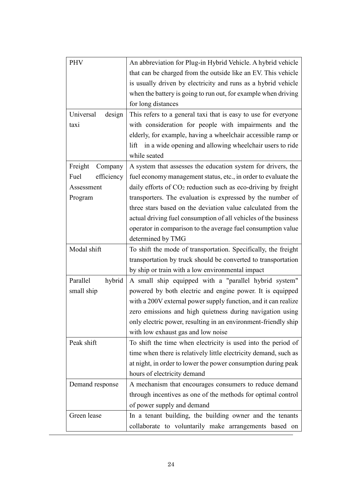| <b>PHV</b>          | An abbreviation for Plug-in Hybrid Vehicle. A hybrid vehicle     |
|---------------------|------------------------------------------------------------------|
|                     | that can be charged from the outside like an EV. This vehicle    |
|                     | is usually driven by electricity and runs as a hybrid vehicle    |
|                     | when the battery is going to run out, for example when driving   |
|                     | for long distances                                               |
| Universal<br>design | This refers to a general taxi that is easy to use for everyone   |
| taxi                | with consideration for people with impairments and the           |
|                     | elderly, for example, having a wheelchair accessible ramp or     |
|                     | in a wide opening and allowing wheelchair users to ride<br>lift  |
|                     | while seated                                                     |
| Freight<br>Company  | A system that assesses the education system for drivers, the     |
| efficiency<br>Fuel  | fuel economy management status, etc., in order to evaluate the   |
| Assessment          | daily efforts of $CO2$ reduction such as eco-driving by freight  |
| Program             | transporters. The evaluation is expressed by the number of       |
|                     | three stars based on the deviation value calculated from the     |
|                     | actual driving fuel consumption of all vehicles of the business  |
|                     | operator in comparison to the average fuel consumption value     |
|                     | determined by TMG                                                |
| Modal shift         | To shift the mode of transportation. Specifically, the freight   |
|                     | transportation by truck should be converted to transportation    |
|                     | by ship or train with a low environmental impact                 |
| Parallel<br>hybrid  | A small ship equipped with a "parallel hybrid system"            |
| small ship          | powered by both electric and engine power. It is equipped        |
|                     | with a 200V external power supply function, and it can realize   |
|                     | zero emissions and high quietness during navigation using        |
|                     | only electric power, resulting in an environment-friendly ship   |
|                     | with low exhaust gas and low noise                               |
| Peak shift          | To shift the time when electricity is used into the period of    |
|                     | time when there is relatively little electricity demand, such as |
|                     | at night, in order to lower the power consumption during peak    |
|                     | hours of electricity demand                                      |
| Demand response     | A mechanism that encourages consumers to reduce demand           |
|                     | through incentives as one of the methods for optimal control     |
|                     | of power supply and demand                                       |
| Green lease         | In a tenant building, the building owner and the tenants         |
|                     | collaborate to voluntarily make arrangements based on            |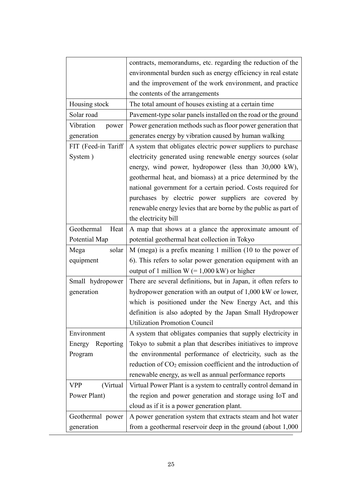|                         | contracts, memorandums, etc. regarding the reduction of the               |
|-------------------------|---------------------------------------------------------------------------|
|                         | environmental burden such as energy efficiency in real estate             |
|                         | and the improvement of the work environment, and practice                 |
|                         | the contents of the arrangements                                          |
| Housing stock           | The total amount of houses existing at a certain time                     |
| Solar road              | Pavement-type solar panels installed on the road or the ground            |
| Vibration<br>power      | Power generation methods such as floor power generation that              |
| generation              | generates energy by vibration caused by human walking                     |
| FIT (Feed-in Tariff     | A system that obligates electric power suppliers to purchase              |
| System)                 | electricity generated using renewable energy sources (solar               |
|                         | energy, wind power, hydropower (less than 30,000 kW),                     |
|                         | geothermal heat, and biomass) at a price determined by the                |
|                         | national government for a certain period. Costs required for              |
|                         | purchases by electric power suppliers are covered by                      |
|                         | renewable energy levies that are borne by the public as part of           |
|                         | the electricity bill                                                      |
| Geothermal<br>Heat      | A map that shows at a glance the approximate amount of                    |
| Potential Map           | potential geothermal heat collection in Tokyo                             |
| Mega<br>solar           | M (mega) is a prefix meaning 1 million (10 to the power of                |
| equipment               | 6). This refers to solar power generation equipment with an               |
|                         | output of 1 million $W$ (= 1,000 kW) or higher                            |
| Small hydropower        | There are several definitions, but in Japan, it often refers to           |
| generation              | hydropower generation with an output of 1,000 kW or lower,                |
|                         | which is positioned under the New Energy Act, and this                    |
|                         | definition is also adopted by the Japan Small Hydropower                  |
|                         | <b>Utilization Promotion Council</b>                                      |
| Environment             | A system that obligates companies that supply electricity in              |
| Energy<br>Reporting     | Tokyo to submit a plan that describes initiatives to improve              |
| Program                 | the environmental performance of electricity, such as the                 |
|                         | reduction of CO <sub>2</sub> emission coefficient and the introduction of |
|                         | renewable energy, as well as annual performance reports                   |
| <b>VPP</b><br>(Virtual) | Virtual Power Plant is a system to centrally control demand in            |
| Power Plant)            | the region and power generation and storage using IoT and                 |
|                         | cloud as if it is a power generation plant.                               |
| Geothermal power        |                                                                           |
|                         | A power generation system that extracts steam and hot water               |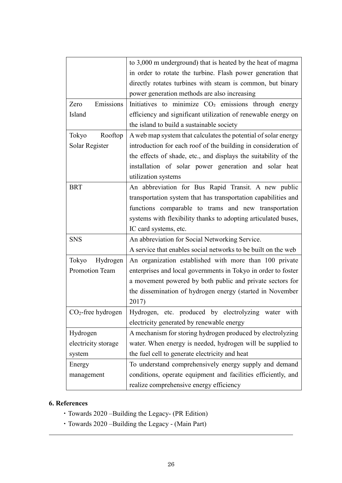|                       | to 3,000 m underground) that is heated by the heat of magma      |
|-----------------------|------------------------------------------------------------------|
|                       | in order to rotate the turbine. Flash power generation that      |
|                       | directly rotates turbines with steam is common, but binary       |
|                       | power generation methods are also increasing                     |
| Emissions<br>Zero     | Initiatives to minimize CO <sub>2</sub> emissions through energy |
| Island                | efficiency and significant utilization of renewable energy on    |
|                       | the island to build a sustainable society                        |
| Rooftop<br>Tokyo      | A web map system that calculates the potential of solar energy   |
| Solar Register        | introduction for each roof of the building in consideration of   |
|                       | the effects of shade, etc., and displays the suitability of the  |
|                       | installation of solar power generation and solar heat            |
|                       | utilization systems                                              |
| <b>BRT</b>            | An abbreviation for Bus Rapid Transit. A new public              |
|                       | transportation system that has transportation capabilities and   |
|                       | functions comparable to trams and new transportation             |
|                       | systems with flexibility thanks to adopting articulated buses,   |
|                       | IC card systems, etc.                                            |
| <b>SNS</b>            | An abbreviation for Social Networking Service.                   |
|                       | A service that enables social networks to be built on the web    |
| Hydrogen<br>Tokyo     | An organization established with more than 100 private           |
| <b>Promotion Team</b> | enterprises and local governments in Tokyo in order to foster    |
|                       | a movement powered by both public and private sectors for        |
|                       | the dissemination of hydrogen energy (started in November        |
|                       | 2017)                                                            |
| $CO2$ -free hydrogen  | Hydrogen, etc. produced by electrolyzing water with              |
|                       | electricity generated by renewable energy                        |
| Hydrogen              | A mechanism for storing hydrogen produced by electrolyzing       |
| electricity storage   | water. When energy is needed, hydrogen will be supplied to       |
| system                | the fuel cell to generate electricity and heat                   |
| Energy                | To understand comprehensively energy supply and demand           |
| management            | conditions, operate equipment and facilities efficiently, and    |
|                       | realize comprehensive energy efficiency                          |

# **6. References**

- ・Towards 2020 –Building the Legacy- (PR Edition)
- ・Towards 2020 –Building the Legacy (Main Part)